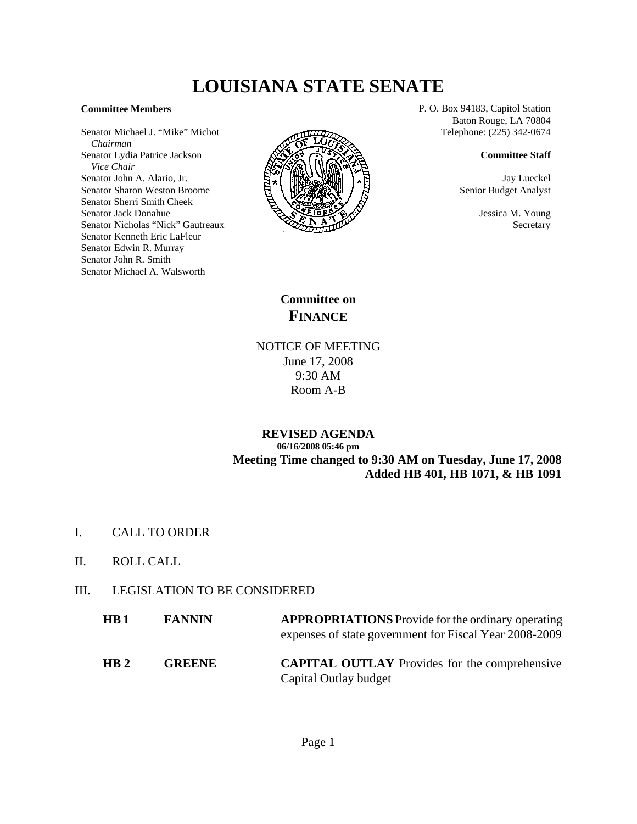# **LOUISIANA STATE SENATE**

#### **Committee Members**

Senator Michael J. "Mike" Michot  *Chairman* Senator Lydia Patrice Jackson  *Vice Chair* Senator John A. Alario, Jr. Senator Sharon Weston Broome Senator Sherri Smith Cheek Senator Jack Donahue Senator Nicholas "Nick" Gautreaux Senator Kenneth Eric LaFleur Senator Edwin R. Murray Senator John R. Smith Senator Michael A. Walsworth



P. O. Box 94183, Capitol Station Baton Rouge, LA 70804 Telephone: (225) 342-0674

#### **Committee Staff**

Jay Lueckel Senior Budget Analyst

> Jessica M. Young Secretary

**Committee on FINANCE**

NOTICE OF MEETING June 17, 2008 9:30 AM Room A-B

### **REVISED AGENDA 06/16/2008 05:46 pm Meeting Time changed to 9:30 AM on Tuesday, June 17, 2008 Added HB 401, HB 1071, & HB 1091**

- I. CALL TO ORDER
- II. ROLL CALL
- III. LEGISLATION TO BE CONSIDERED

| HB1             | <b>FANNIN</b> | <b>APPROPRIATIONS</b> Provide for the ordinary operating<br>expenses of state government for Fiscal Year 2008-2009 |
|-----------------|---------------|--------------------------------------------------------------------------------------------------------------------|
| HR <sub>2</sub> | <b>GREENE</b> | <b>CAPITAL OUTLAY</b> Provides for the comprehensive<br>Capital Outlay budget                                      |